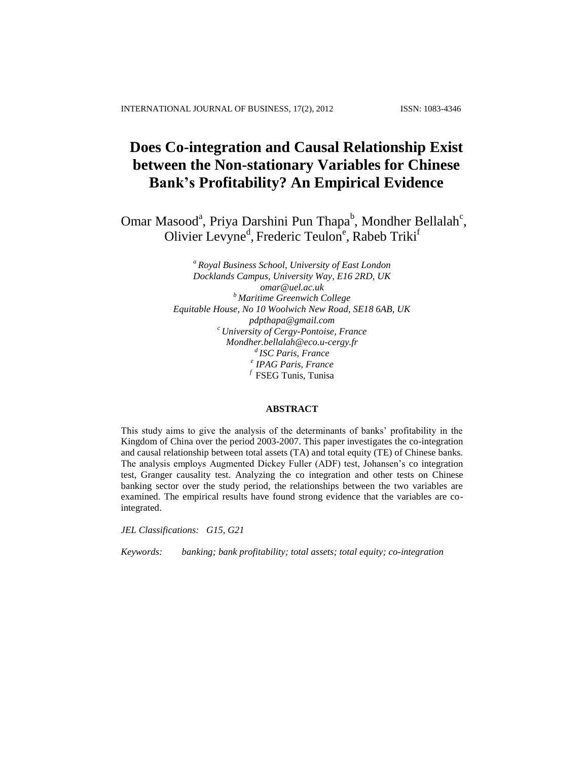# **Does Co-integration and Causal Relationship Exist between the Non-stationary Variables for Chinese Bank's Profitability? An Empirical Evidence**

Omar Masood<sup>a</sup>, Priya Darshini Pun Thapa<sup>b</sup>, Mondher Bellalah<sup>c</sup>, Olivier Levyne<sup>d</sup>, Frederic Teulon<sup>e</sup>, Rabeb Triki<sup>f</sup>

> *<sup>a</sup> Royal Business School, University of East London Docklands Campus, University Way, E16 2RD, UK [omar@uel.ac.uk](mailto:omar@uel.ac.uk) <sup>b</sup> Maritime Greenwich College Equitable House, No 10 Woolwich New Road, SE18 6AB, UK pdpthapa@gmail.com <sup>c</sup> University of Cergy-Pontoise, France Mondher.bellalah@eco.u-cergy.fr d ISC Paris, France e IPAG Paris, France* <sup>*f*</sup> FSEG Tunis, Tunisa

#### **ABSTRACT**

This study aims to give the analysis of the determinants of banks' profitability in the Kingdom of China over the period 2003-2007. This paper investigates the co-integration and causal relationship between total assets (TA) and total equity (TE) of Chinese banks. The analysis employs Augmented Dickey Fuller (ADF) test, Johansen's co integration test, Granger causality test. Analyzing the co integration and other tests on Chinese banking sector over the study period, the relationships between the two variables are examined. The empirical results have found strong evidence that the variables are cointegrated.

*JEL Classifications: G15, G21*

*Keywords: banking; bank profitability; total assets; total equity; co-integration*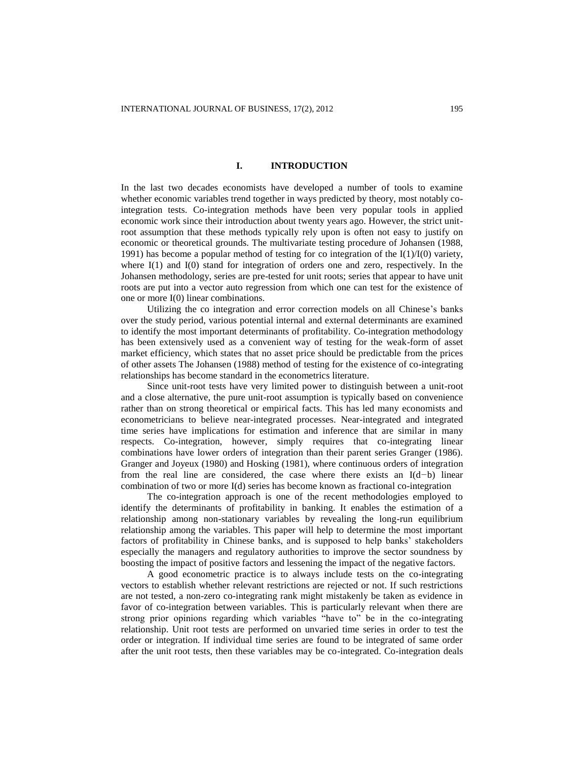# **I. INTRODUCTION**

In the last two decades economists have developed a number of tools to examine whether economic variables trend together in ways predicted by theory, most notably cointegration tests. Co-integration methods have been very popular tools in applied economic work since their introduction about twenty years ago. However, the strict unitroot assumption that these methods typically rely upon is often not easy to justify on economic or theoretical grounds. The multivariate testing procedure of Johansen (1988, 1991) has become a popular method of testing for co integration of the  $I(1)/I(0)$  variety, where I(1) and I(0) stand for integration of orders one and zero, respectively. In the Johansen methodology, series are pre-tested for unit roots; series that appear to have unit roots are put into a vector auto regression from which one can test for the existence of one or more I(0) linear combinations.

Utilizing the co integration and error correction models on all Chinese's banks over the study period, various potential internal and external determinants are examined to identify the most important determinants of profitability. Co-integration methodology has been extensively used as a convenient way of testing for the weak-form of asset market efficiency, which states that no asset price should be predictable from the prices of other assets The Johansen (1988) method of testing for the existence of co-integrating relationships has become standard in the econometrics literature.

Since unit-root tests have very limited power to distinguish between a unit-root and a close alternative, the pure unit-root assumption is typically based on convenience rather than on strong theoretical or empirical facts. This has led many economists and econometricians to believe near-integrated processes. Near-integrated and integrated time series have implications for estimation and inference that are similar in many respects. Co-integration, however, simply requires that co-integrating linear combinations have lower orders of integration than their parent series Granger (1986). Granger and Joyeux (1980) and Hosking (1981), where continuous orders of integration from the real line are considered, the case where there exists an I(d*−*b) linear combination of two or more I(d) series has become known as fractional co-integration

The co-integration approach is one of the recent methodologies employed to identify the determinants of profitability in banking. It enables the estimation of a relationship among non-stationary variables by revealing the long-run equilibrium relationship among the variables. This paper will help to determine the most important factors of profitability in Chinese banks, and is supposed to help banks' stakeholders especially the managers and regulatory authorities to improve the sector soundness by boosting the impact of positive factors and lessening the impact of the negative factors.

A good econometric practice is to always include tests on the co-integrating vectors to establish whether relevant restrictions are rejected or not. If such restrictions are not tested, a non-zero co-integrating rank might mistakenly be taken as evidence in favor of co-integration between variables. This is particularly relevant when there are strong prior opinions regarding which variables "have to" be in the co-integrating relationship. Unit root tests are performed on unvaried time series in order to test the order or integration. If individual time series are found to be integrated of same order after the unit root tests, then these variables may be co-integrated. Co-integration deals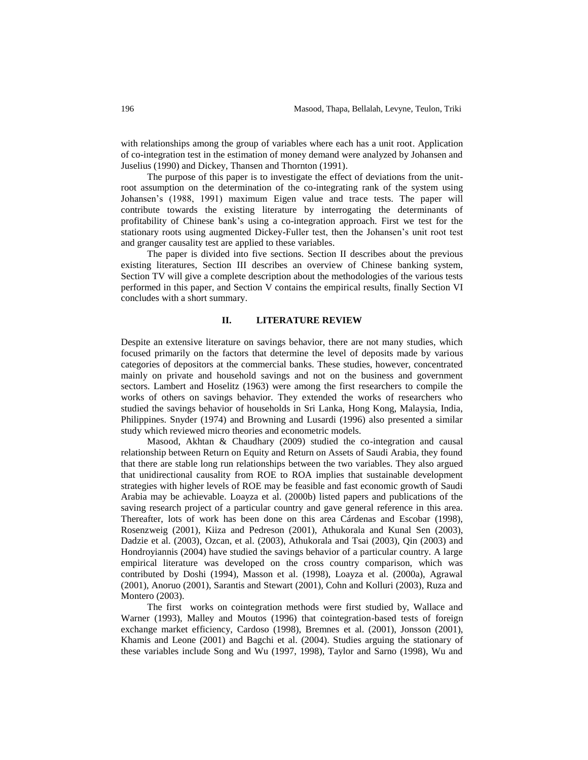with relationships among the group of variables where each has a unit root. Application of co-integration test in the estimation of money demand were analyzed by Johansen and Juselius (1990) and Dickey, Thansen and Thornton (1991).

The purpose of this paper is to investigate the effect of deviations from the unitroot assumption on the determination of the co-integrating rank of the system using Johansen's (1988, 1991) maximum Eigen value and trace tests. The paper will contribute towards the existing literature by interrogating the determinants of profitability of Chinese bank's using a co-integration approach. First we test for the stationary roots using augmented Dickey-Fuller test, then the Johansen's unit root test and granger causality test are applied to these variables.

The paper is divided into five sections. Section II describes about the previous existing literatures, Section III describes an overview of Chinese banking system, Section TV will give a complete description about the methodologies of the various tests performed in this paper, and Section V contains the empirical results, finally Section VI concludes with a short summary.

#### **II. LITERATURE REVIEW**

Despite an extensive literature on savings behavior, there are not many studies, which focused primarily on the factors that determine the level of deposits made by various categories of depositors at the commercial banks. These studies, however, concentrated mainly on private and household savings and not on the business and government sectors. Lambert and Hoselitz (1963) were among the first researchers to compile the works of others on savings behavior. They extended the works of researchers who studied the savings behavior of households in Sri Lanka, Hong Kong, Malaysia, India, Philippines. Snyder (1974) and Browning and Lusardi (1996) also presented a similar study which reviewed micro theories and econometric models.

Masood, Akhtan & Chaudhary (2009) studied the co-integration and causal relationship between Return on Equity and Return on Assets of Saudi Arabia, they found that there are stable long run relationships between the two variables. They also argued that unidirectional causality from ROE to ROA implies that sustainable development strategies with higher levels of ROE may be feasible and fast economic growth of Saudi Arabia may be achievable. Loayza et al. (2000b) listed papers and publications of the saving research project of a particular country and gave general reference in this area. Thereafter, lots of work has been done on this area Cárdenas and Escobar (1998), Rosenzweig (2001), Kiiza and Pedreson (2001), Athukorala and Kunal Sen (2003), Dadzie et al. (2003), Ozcan, et al. (2003), Athukorala and Tsai (2003), Qin (2003) and Hondroyiannis (2004) have studied the savings behavior of a particular country. A large empirical literature was developed on the cross country comparison, which was contributed by Doshi (1994), Masson et al. (1998), Loayza et al. (2000a), Agrawal (2001), Anoruo (2001), Sarantis and Stewart (2001), Cohn and Kolluri (2003), Ruza and Montero (2003).

The first works on cointegration methods were first studied by, Wallace and Warner (1993), Malley and Moutos (1996) that cointegration-based tests of foreign exchange market efficiency, Cardoso (1998), Bremnes et al. (2001), Jonsson (2001), Khamis and Leone (2001) and Bagchi et al. (2004). Studies arguing the stationary of these variables include Song and Wu (1997, 1998), Taylor and Sarno (1998), Wu and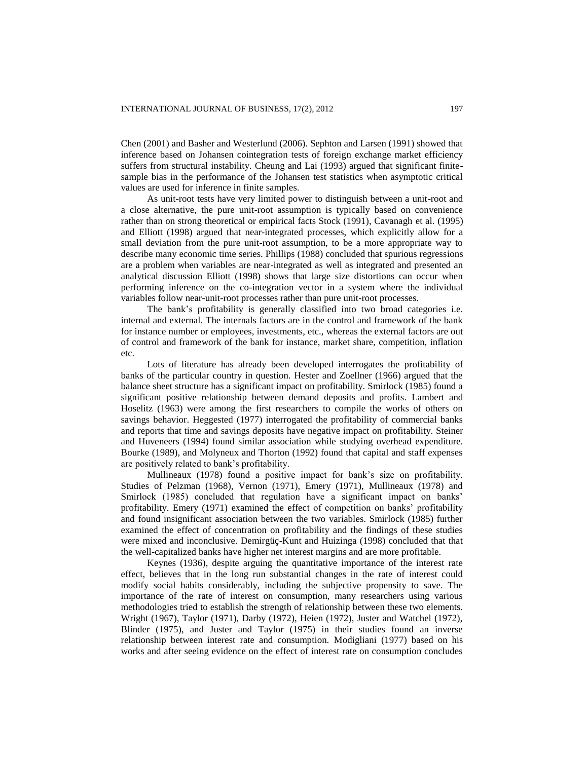Chen (2001) and Basher and Westerlund (2006). Sephton and Larsen (1991) showed that inference based on Johansen cointegration tests of foreign exchange market efficiency suffers from structural instability. Cheung and Lai (1993) argued that significant finitesample bias in the performance of the Johansen test statistics when asymptotic critical values are used for inference in finite samples.

As unit-root tests have very limited power to distinguish between a unit-root and a close alternative, the pure unit-root assumption is typically based on convenience rather than on strong theoretical or empirical facts Stock (1991), Cavanagh et al. (1995) and Elliott (1998) argued that near-integrated processes, which explicitly allow for a small deviation from the pure unit-root assumption, to be a more appropriate way to describe many economic time series. Phillips (1988) concluded that spurious regressions are a problem when variables are near-integrated as well as integrated and presented an analytical discussion Elliott (1998) shows that large size distortions can occur when performing inference on the co-integration vector in a system where the individual variables follow near-unit-root processes rather than pure unit-root processes.

The bank's profitability is generally classified into two broad categories i.e. internal and external. The internals factors are in the control and framework of the bank for instance number or employees, investments, etc., whereas the external factors are out of control and framework of the bank for instance, market share, competition, inflation etc.

Lots of literature has already been developed interrogates the profitability of banks of the particular country in question. Hester and Zoellner (1966) argued that the balance sheet structure has a significant impact on profitability. Smirlock (1985) found a significant positive relationship between demand deposits and profits. Lambert and Hoselitz (1963) were among the first researchers to compile the works of others on savings behavior. Heggested (1977) interrogated the profitability of commercial banks and reports that time and savings deposits have negative impact on profitability. Steiner and Huveneers (1994) found similar association while studying overhead expenditure. Bourke (1989), and Molyneux and Thorton (1992) found that capital and staff expenses are positively related to bank's profitability.

Mullineaux (1978) found a positive impact for bank's size on profitability. Studies of Pelzman (1968), Vernon (1971), Emery (1971), Mullineaux (1978) and Smirlock (1985) concluded that regulation have a significant impact on banks' profitability. Emery (1971) examined the effect of competition on banks' profitability and found insignificant association between the two variables. Smirlock (1985) further examined the effect of concentration on profitability and the findings of these studies were mixed and inconclusive. Demirgüç-Kunt and Huizinga (1998) concluded that that the well-capitalized banks have higher net interest margins and are more profitable.

Keynes (1936), despite arguing the quantitative importance of the interest rate effect, believes that in the long run substantial changes in the rate of interest could modify social habits considerably, including the subjective propensity to save. The importance of the rate of interest on consumption, many researchers using various methodologies tried to establish the strength of relationship between these two elements. Wright (1967), Taylor (1971), Darby (1972), Heien (1972), Juster and Watchel (1972), Blinder (1975), and Juster and Taylor (1975) in their studies found an inverse relationship between interest rate and consumption. Modigliani (1977) based on his works and after seeing evidence on the effect of interest rate on consumption concludes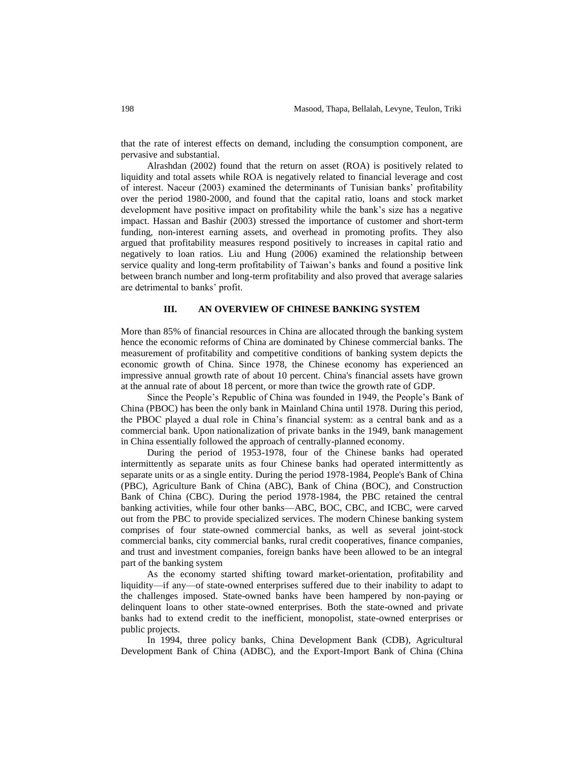that the rate of interest effects on demand, including the consumption component, are pervasive and substantial.

Alrashdan (2002) found that the return on asset (ROA) is positively related to liquidity and total assets while ROA is negatively related to financial leverage and cost of interest. Naceur (2003) examined the determinants of Tunisian banks' profitability over the period 1980-2000, and found that the capital ratio, loans and stock market development have positive impact on profitability while the bank's size has a negative impact. Hassan and Bashir (2003) stressed the importance of customer and short-term funding, non-interest earning assets, and overhead in promoting profits. They also argued that profitability measures respond positively to increases in capital ratio and negatively to loan ratios. Liu and Hung (2006) examined the relationship between service quality and long-term profitability of Taiwan's banks and found a positive link between branch number and long-term profitability and also proved that average salaries are detrimental to banks' profit.

## **III. AN OVERVIEW OF CHINESE BANKING SYSTEM**

More than 85% of financial resources in China are allocated through the banking system hence the economic reforms of China are dominated by Chinese commercial banks. The measurement of profitability and competitive conditions of banking system depicts the economic growth of China. Since 1978, the Chinese economy has experienced an impressive annual growth rate of about 10 percent. China's financial assets have grown at the annual rate of about 18 percent, or more than twice the growth rate of GDP.

Since the People's Republic of China was founded in 1949, the People's Bank of China (PBOC) has been the only bank in Mainland China until 1978. During this period, the PBOC played a dual role in China's financial system: as a central bank and as a commercial bank. Upon nationalization of private banks in the 1949, bank management in China essentially followed the approach of centrally-planned economy.

During the period of 1953-1978, four of the Chinese banks had operated intermittently as separate units as four Chinese banks had operated intermittently as separate units or as a single entity. During the period 1978-1984, People's Bank of China (PBC), Agriculture Bank of China (ABC), Bank of China (BOC), and Construction Bank of China (CBC). During the period 1978-1984, the PBC retained the central banking activities, while four other banks—ABC, BOC, CBC, and ICBC, were carved out from the PBC to provide specialized services. The modern Chinese banking system comprises of four state-owned commercial banks, as well as several joint-stock commercial banks, city commercial banks, rural credit cooperatives, finance companies, and trust and investment companies, foreign banks have been allowed to be an integral part of the banking system

As the economy started shifting toward market-orientation, profitability and liquidity—if any—of state-owned enterprises suffered due to their inability to adapt to the challenges imposed. State-owned banks have been hampered by non-paying or delinquent loans to other state-owned enterprises. Both the state-owned and private banks had to extend credit to the inefficient, monopolist, state-owned enterprises or public projects.

In 1994, three policy banks, China Development Bank (CDB), Agricultural Development Bank of China (ADBC), and the Export-Import Bank of China (China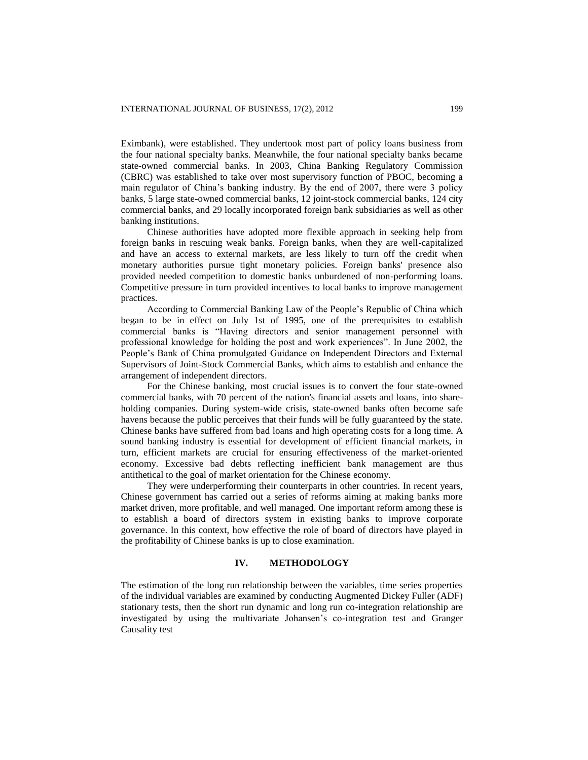Eximbank), were established. They undertook most part of policy loans business from the four national specialty banks. Meanwhile, the four national specialty banks became state-owned commercial banks. In 2003, China Banking Regulatory Commission (CBRC) was established to take over most supervisory function of PBOC, becoming a main regulator of China's banking industry. By the end of 2007, there were 3 policy banks, 5 large state-owned commercial banks, 12 joint-stock commercial banks, 124 city commercial banks, and 29 locally incorporated foreign bank subsidiaries as well as other banking institutions.

Chinese authorities have adopted more flexible approach in seeking help from foreign banks in rescuing weak banks. Foreign banks, when they are well-capitalized and have an access to external markets, are less likely to turn off the credit when monetary authorities pursue tight monetary policies. Foreign banks' presence also provided needed competition to domestic banks unburdened of non-performing loans. Competitive pressure in turn provided incentives to local banks to improve management practices.

According to Commercial Banking Law of the People's Republic of China which began to be in effect on July 1st of 1995, one of the prerequisites to establish commercial banks is "Having directors and senior management personnel with professional knowledge for holding the post and work experiences". In June 2002, the People's Bank of China promulgated Guidance on Independent Directors and External Supervisors of Joint-Stock Commercial Banks, which aims to establish and enhance the arrangement of independent directors.

For the Chinese banking, most crucial issues is to convert the four state-owned commercial banks, with 70 percent of the nation's financial assets and loans, into shareholding companies. During system-wide crisis, state-owned banks often become safe havens because the public perceives that their funds will be fully guaranteed by the state. Chinese banks have suffered from bad loans and high operating costs for a long time. A sound banking industry is essential for development of efficient financial markets, in turn, efficient markets are crucial for ensuring effectiveness of the market-oriented economy. Excessive bad debts reflecting inefficient bank management are thus antithetical to the goal of market orientation for the Chinese economy.

They were underperforming their counterparts in other countries. In recent years, Chinese government has carried out a series of reforms aiming at making banks more market driven, more profitable, and well managed. One important reform among these is to establish a board of directors system in existing banks to improve corporate governance. In this context, how effective the role of board of directors have played in the profitability of Chinese banks is up to close examination.

#### **IV. METHODOLOGY**

The estimation of the long run relationship between the variables, time series properties of the individual variables are examined by conducting Augmented Dickey Fuller (ADF) stationary tests, then the short run dynamic and long run co-integration relationship are investigated by using the multivariate Johansen's co-integration test and Granger Causality test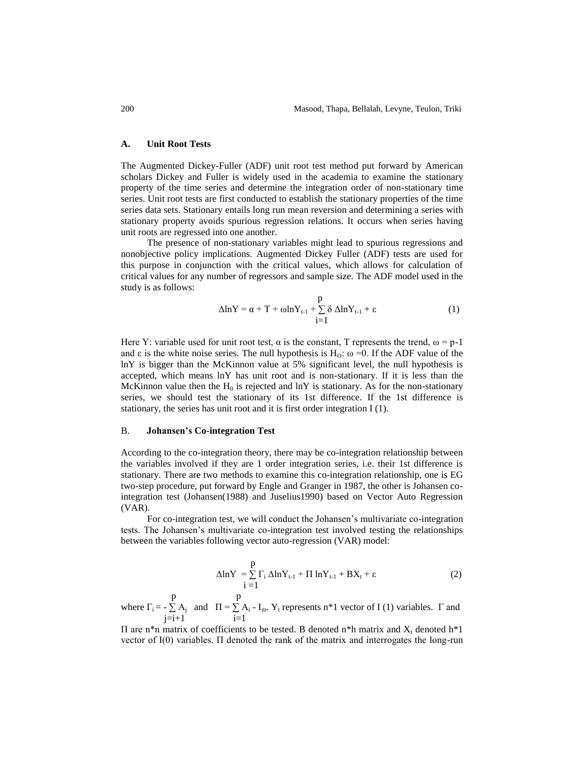#### **A. Unit Root Tests**

The Augmented Dickey-Fuller (ADF) unit root test method put forward by American scholars Dickey and Fuller is widely used in the academia to examine the stationary property of the time series and determine the integration order of non-stationary time series. Unit root tests are first conducted to establish the stationary properties of the time series data sets. Stationary entails long run mean reversion and determining a series with stationary property avoids spurious regression relations. It occurs when series having unit roots are regressed into one another.

The presence of non-stationary variables might lead to spurious regressions and nonobjective policy implications. Augmented Dickey Fuller (ADF) tests are used for this purpose in conjunction with the critical values, which allows for calculation of critical values for any number of regressors and sample size. The ADF model used in the study is as follows:

$$
\Delta \ln Y = \alpha + T + \omega \ln Y_{t-1} + \sum_{i=1}^{p} \delta \Delta \ln Y_{t-1} + \varepsilon
$$
 (1)

Here Y: variable used for unit root test,  $\alpha$  is the constant, T represents the trend,  $\omega = p-1$ and  $\varepsilon$  is the white noise series. The null hypothesis is H<sub>O</sub>:  $\omega$  =0. If the ADF value of the lnY is bigger than the McKinnon value at 5% significant level, the null hypothesis is accepted, which means lnY has unit root and is non-stationary. If it is less than the McKinnon value then the  $H_0$  is rejected and lnY is stationary. As for the non-stationary series, we should test the stationary of its 1st difference. If the 1st difference is stationary, the series has unit root and it is first order integration I (1).

#### B. **Johansen's Co-integration Test**

According to the co-integration theory, there may be co-integration relationship between the variables involved if they are 1 order integration series, i.e. their 1st difference is stationary. There are two methods to examine this co-integration relationship, one is EG two-step procedure, put forward by Engle and Granger in 1987, the other is Johansen cointegration test (Johansen(1988) and Juselius1990) based on Vector Auto Regression (VAR).

For co-integration test, we will conduct the Johansen's multivariate co-integration tests. The Johansen's multivariate co-integration test involved testing the relationships between the variables following vector auto-regression (VAR) model:

$$
\Delta \ln Y = \sum_{i=1}^{p} \Gamma_i \Delta \ln Y_{t-1} + \Pi \ln Y_{t-1} + BX_t + \varepsilon
$$
 (2)

 p p where  $\Gamma_i = -\sum A_j$  and  $\Pi = \sum A_i - I_m$ . Y<sub>t</sub> represents n\*1 vector of I (1) variables.  $\Gamma$  and  $j=i+1$   $i=1$ 

II are n<sup>\*</sup>n matrix of coefficients to be tested. B denoted n<sup>\*</sup>h matrix and  $X_t$  denoted h<sup>\*</sup>l vector of I(0) variables. Π denoted the rank of the matrix and interrogates the long-run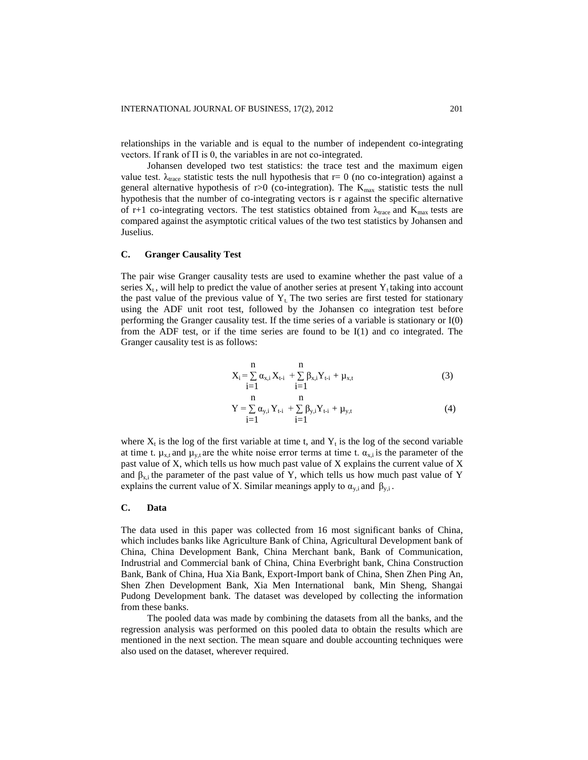relationships in the variable and is equal to the number of independent co-integrating vectors. If rank of  $\Pi$  is 0, the variables in are not co-integrated.

Johansen developed two test statistics: the trace test and the maximum eigen value test.  $\lambda_{\text{trace}}$  statistic tests the null hypothesis that r= 0 (no co-integration) against a general alternative hypothesis of r>0 (co-integration). The  $K_{max}$  statistic tests the null hypothesis that the number of co-integrating vectors is r against the specific alternative of r+1 co-integrating vectors. The test statistics obtained from  $\lambda_{\text{trace}}$  and  $K_{\text{max}}$  tests are compared against the asymptotic critical values of the two test statistics by Johansen and Juselius.

## **C. Granger Causality Test**

The pair wise Granger causality tests are used to examine whether the past value of a series  $X_t$ , will help to predict the value of another series at present  $Y_t$  taking into account the past value of the previous value of  $Y_t$ . The two series are first tested for stationary using the ADF unit root test, followed by the Johansen co integration test before performing the Granger causality test. If the time series of a variable is stationary or I(0) from the ADF test, or if the time series are found to be  $I(1)$  and co integrated. The Granger causality test is as follows:

$$
X_{i} = \sum_{i=1}^{n} \alpha_{x,i} X_{t-i} + \sum_{i=1}^{n} \beta_{x,i} Y_{t-i} + \mu_{x,t}
$$
(3)

$$
Y = \sum_{i=1}^{n} \alpha_{y,i} Y_{t-i} + \sum_{i=1}^{n} \beta_{y,i} Y_{t-i} + \mu_{y,t}
$$
(4)

where  $X_t$  is the log of the first variable at time t, and  $Y_t$  is the log of the second variable at time t.  $\mu_{x,t}$  and  $\mu_{y,t}$  are the white noise error terms at time t.  $\alpha_{x,i}$  is the parameter of the past value of X, which tells us how much past value of X explains the current value of X and  $\beta_{x,i}$  the parameter of the past value of Y, which tells us how much past value of Y explains the current value of X. Similar meanings apply to  $\alpha_{y,i}$  and  $\beta_{y,i}$ .

# **C. Data**

The data used in this paper was collected from 16 most significant banks of China, which includes banks like Agriculture Bank of China, Agricultural Development bank of China, China Development Bank, China Merchant bank, Bank of Communication, Indrustrial and Commercial bank of China, China Everbright bank, China Construction Bank, Bank of China, Hua Xia Bank, Export-Import bank of China, Shen Zhen Ping An, Shen Zhen Development Bank, Xia Men International bank, Min Sheng, Shangai Pudong Development bank. The dataset was developed by collecting the information from these banks.

The pooled data was made by combining the datasets from all the banks, and the regression analysis was performed on this pooled data to obtain the results which are mentioned in the next section. The mean square and double accounting techniques were also used on the dataset, wherever required.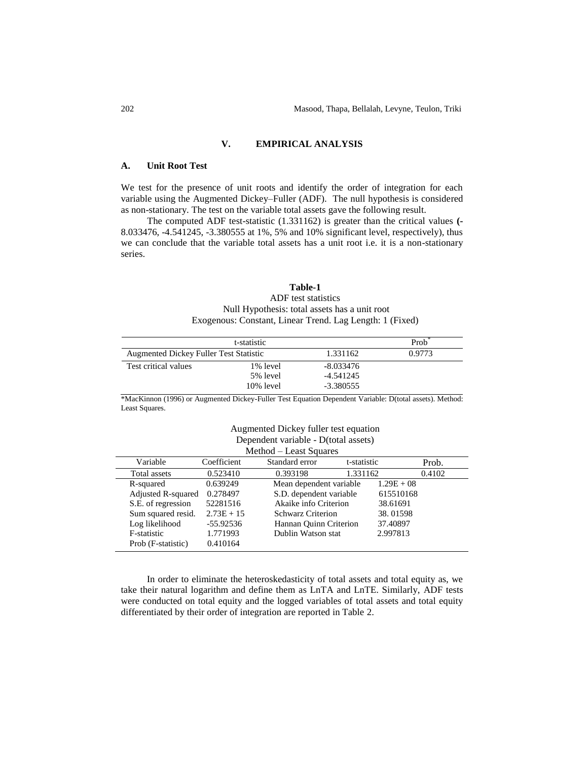# **V. EMPIRICAL ANALYSIS**

## **A. Unit Root Test**

We test for the presence of unit roots and identify the order of integration for each variable using the Augmented Dickey–Fuller (ADF). The null hypothesis is considered as non-stationary. The test on the variable total assets gave the following result.

The computed ADF test-statistic (1.331162) is greater than the critical values **(-** 8.033476, -4.541245, -3.380555 at 1%, 5% and 10% significant level, respectively), thus we can conclude that the variable total assets has a unit root i.e. it is a non-stationary series.

# **Table-1**

ADF test statistics Null Hypothesis: total assets has a unit root Exogenous: Constant, Linear Trend. Lag Length: 1 (Fixed)

|                                               | t-statistic  |             | Prob   |
|-----------------------------------------------|--------------|-------------|--------|
| <b>Augmented Dickey Fuller Test Statistic</b> |              | 1.331162    | 0.9773 |
| Test critical values                          | 1% level     | $-8.033476$ |        |
|                                               | 5% level     | -4.541245   |        |
|                                               | $10\%$ level | -3.380555   |        |

\*MacKinnon (1996) or Augmented Dickey-Fuller Test Equation Dependent Variable: D(total assets). Method: Least Squares.

## Augmented Dickey fuller test equation Dependent variable - D(total assets) Method – Least Squares

|                    |              | www.<br>Luist Dyuarus   |             |              |
|--------------------|--------------|-------------------------|-------------|--------------|
| Variable           | Coefficient  | Standard error          | t-statistic | Prob.        |
| Total assets       | 0.523410     | 0.393198                | 1.331162    | 0.4102       |
| R-squared          | 0.639249     | Mean dependent variable |             | $1.29E + 08$ |
| Adjusted R-squared | 0.278497     | S.D. dependent variable |             | 615510168    |
| S.E. of regression | 52281516     | Akaike info Criterion   |             | 38.61691     |
| Sum squared resid. | $2.73E + 15$ | Schwarz Criterion       |             | 38.01598     |
| Log likelihood     | $-55.92536$  | Hannan Quinn Criterion  |             | 37.40897     |
| F-statistic        | 1.771993     | Dublin Watson stat      |             | 2.997813     |
| Prob (F-statistic) | 0.410164     |                         |             |              |

In order to eliminate the heteroskedasticity of total assets and total equity as, we take their natural logarithm and define them as LnTA and LnTE. Similarly, ADF tests were conducted on total equity and the logged variables of total assets and total equity differentiated by their order of integration are reported in Table 2.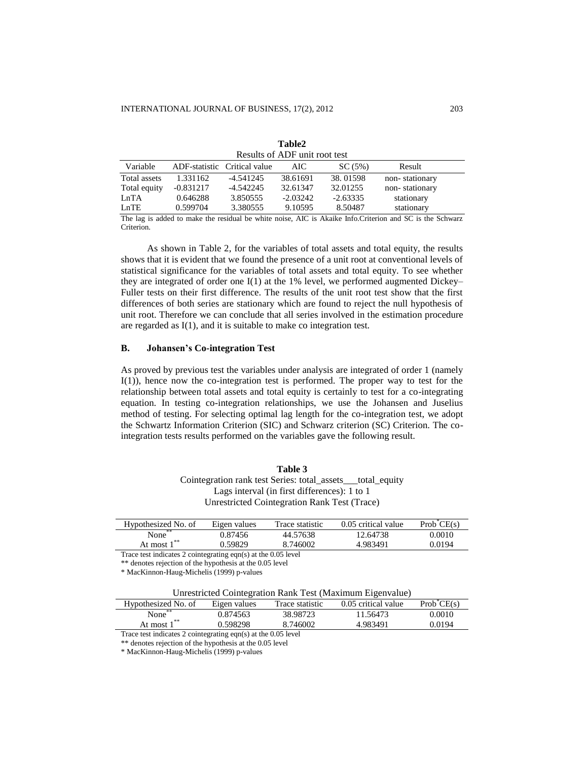|              |                                   | Results of ADF unit root test |            |                                                                                                                                                                                                                                                                                                                                    |                    |  |
|--------------|-----------------------------------|-------------------------------|------------|------------------------------------------------------------------------------------------------------------------------------------------------------------------------------------------------------------------------------------------------------------------------------------------------------------------------------------|--------------------|--|
| Variable     |                                   | ADF-statistic Critical value  | AIC.       | SC(5%)                                                                                                                                                                                                                                                                                                                             | Result             |  |
| Total assets | 1.331162                          | -4.541245                     | 38.61691   | 38.01598                                                                                                                                                                                                                                                                                                                           | non-stationary     |  |
| Total equity | $-0.831217$                       | $-4.542245$                   | 32.61347   | 32.01255                                                                                                                                                                                                                                                                                                                           | non-stationary     |  |
| LnTA         | 0.646288                          | 3.850555                      | $-2.03242$ | $-2.63335$                                                                                                                                                                                                                                                                                                                         | stationary         |  |
| LnTE         | 0.599704                          | 3.380555                      | 9.10595    | 8.50487                                                                                                                                                                                                                                                                                                                            | stationary         |  |
| ли 1.        | 1111<br>$\mathbf{1}$ $\mathbf{1}$ | $\cdots$                      | $\cdots$   | $\mathbf{1}$ $\mathbf{1}$ $\mathbf{1}$ $\mathbf{1}$ $\mathbf{1}$ $\mathbf{1}$ $\mathbf{1}$ $\mathbf{1}$ $\mathbf{1}$ $\mathbf{1}$ $\mathbf{1}$ $\mathbf{1}$ $\mathbf{1}$ $\mathbf{1}$ $\mathbf{1}$ $\mathbf{1}$ $\mathbf{1}$ $\mathbf{1}$ $\mathbf{1}$ $\mathbf{1}$ $\mathbf{1}$ $\mathbf{1}$ $\mathbf{1}$ $\mathbf{1}$ $\mathbf{$ | 100111<br>$\sim$ 1 |  |

| Table2                      |  |
|-----------------------------|--|
| Results of ADF unit root te |  |

The lag is added to make the residual be white noise, AIC is Akaike Info.Criterion and SC is the Schwarz Criterion.

As shown in Table 2, for the variables of total assets and total equity, the results shows that it is evident that we found the presence of a unit root at conventional levels of statistical significance for the variables of total assets and total equity. To see whether they are integrated of order one I(1) at the 1% level, we performed augmented Dickey– Fuller tests on their first difference. The results of the unit root test show that the first differences of both series are stationary which are found to reject the null hypothesis of unit root. Therefore we can conclude that all series involved in the estimation procedure are regarded as I(1), and it is suitable to make co integration test.

# **B. Johansen's Co-integration Test**

As proved by previous test the variables under analysis are integrated of order 1 (namely I(1)), hence now the co-integration test is performed. The proper way to test for the relationship between total assets and total equity is certainly to test for a co-integrating equation. In testing co-integration relationships, we use the Johansen and Juselius method of testing. For selecting optimal lag length for the co-integration test, we adopt the Schwartz Information Criterion (SIC) and Schwarz criterion (SC) Criterion. The cointegration tests results performed on the variables gave the following result.

| Table 3                                                    |
|------------------------------------------------------------|
| Cointegration rank test Series: total_assets__total_equity |
| Lags interval (in first differences): 1 to 1               |
| Unrestricted Cointegration Rank Test (Trace)               |

| Hypothesized No. of | Eigen values | Trace statistic | 0.05 critical value | $Prob^{\circ}$ CE(s) |
|---------------------|--------------|-----------------|---------------------|----------------------|
| $**$<br>None        | 0.87456      | 44.57638        | 12.64738            | 0.0010               |
| At most 1           | 0.59829      | 8.746002        | 4.983491            | 0.0194               |

Trace test indicates 2 cointegrating eqn(s) at the 0.05 level

\* MacKinnon-Haug-Michelis (1999) p-values

| Unrestricted Cointegration Rank Test (Maximum Eigenvalue) |  |
|-----------------------------------------------------------|--|
|-----------------------------------------------------------|--|

| Hypothesized No. of | Eigen values | Trace statistic | 0.05 critical value | $Prob*CE(s)$ |
|---------------------|--------------|-----------------|---------------------|--------------|
| **<br>None          | 0.874563     | 38.98723        | 11.56473            | 0.0010       |
| At most             | 0.598298     | 8.746002        | 4.983491            | 0.0194       |
|                     |              | .               |                     |              |

Trace test indicates 2 cointegrating eqn(s) at the 0.05 level

\*\* denotes rejection of the hypothesis at the 0.05 level

\* MacKinnon-Haug-Michelis (1999) p-values

<sup>\*\*</sup> denotes rejection of the hypothesis at the 0.05 level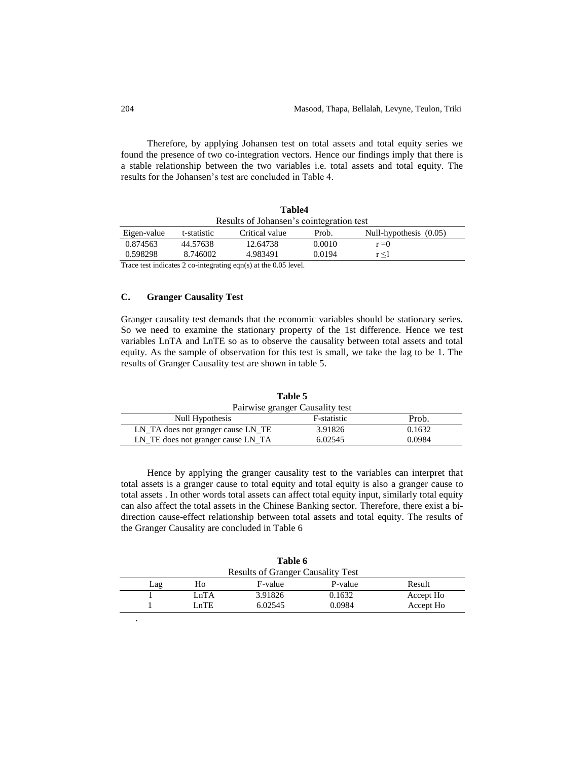Therefore, by applying Johansen test on total assets and total equity series we found the presence of two co-integration vectors. Hence our findings imply that there is a stable relationship between the two variables i.e. total assets and total equity. The results for the Johansen's test are concluded in Table 4.

|             |             | Table4                                   |        |                        |
|-------------|-------------|------------------------------------------|--------|------------------------|
|             |             | Results of Johansen's cointegration test |        |                        |
| Eigen-value | t-statistic | Critical value                           | Prob.  | Null-hypothesis (0.05) |
| 0.874563    | 44.57638    | 12.64738                                 | 0.0010 | $r = 0$                |
| 0.598298    | 8.746002    | 4.983491                                 | 0.0194 | r < 1                  |

**Table4**

Trace test indicates 2 co-integrating eqn(s) at the 0.05 level.

# **C. Granger Causality Test**

Granger causality test demands that the economic variables should be stationary series. So we need to examine the stationary property of the 1st difference. Hence we test variables LnTA and LnTE so as to observe the causality between total assets and total equity. As the sample of observation for this test is small, we take the lag to be 1. The results of Granger Causality test are shown in table 5.

|                                    | Pairwise granger Causality test |        |
|------------------------------------|---------------------------------|--------|
| Null Hypothesis                    | F-statistic                     | Prob.  |
| LN_TA does not granger cause LN_TE | 3.91826                         | 0.1632 |
| LN_TE does not granger cause LN_TA | 6.02545                         | 0.0984 |

Hence by applying the granger causality test to the variables can interpret that total assets is a granger cause to total equity and total equity is also a granger cause to total assets . In other words total assets can affect total equity input, similarly total equity can also affect the total assets in the Chinese Banking sector. Therefore, there exist a bidirection cause-effect relationship between total assets and total equity. The results of the Granger Causality are concluded in Table 6

| <b>Results of Granger Causality Test</b> |      |         |         |           |
|------------------------------------------|------|---------|---------|-----------|
| Lag                                      | Ho   | F-value | P-value | Result    |
|                                          | LnTA | 3.91826 | 0.1632  | Accept Ho |
|                                          | LnTE | 6.02545 | 0.0984  | Accept Ho |

**Table 5**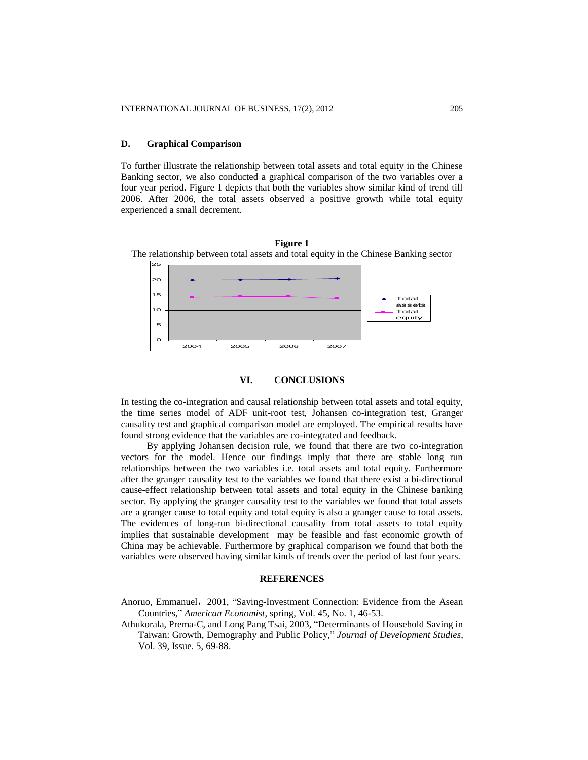## **D. Graphical Comparison**

To further illustrate the relationship between total assets and total equity in the Chinese Banking sector, we also conducted a graphical comparison of the two variables over a four year period. Figure 1 depicts that both the variables show similar kind of trend till 2006. After 2006, the total assets observed a positive growth while total equity experienced a small decrement.



**Figure 1** The relationship between total assets and total equity in the Chinese Banking sector

## **VI. CONCLUSIONS**

In testing the co-integration and causal relationship between total assets and total equity, the time series model of ADF unit-root test, Johansen co-integration test, Granger causality test and graphical comparison model are employed. The empirical results have found strong evidence that the variables are co-integrated and feedback.

By applying Johansen decision rule, we found that there are two co-integration vectors for the model. Hence our findings imply that there are stable long run relationships between the two variables i.e. total assets and total equity. Furthermore after the granger causality test to the variables we found that there exist a bi-directional cause-effect relationship between total assets and total equity in the Chinese banking sector. By applying the granger causality test to the variables we found that total assets are a granger cause to total equity and total equity is also a granger cause to total assets. The evidences of long-run bi-directional causality from total assets to total equity implies that sustainable development may be feasible and fast economic growth of China may be achievable. Furthermore by graphical comparison we found that both the variables were observed having similar kinds of trends over the period of last four years.

#### **REFERENCES**

- Anoruo, Emmanuel, 2001, "Saving-Investment Connection: Evidence from the Asean Countries," *American Economist*, spring, Vol. 45, No. 1, 46-53.
- Athukorala, Prema-C, and Long Pang Tsai, 2003, "Determinants of Household Saving in Taiwan: Growth, Demography and Public Policy," *Journal of Development Studies*, Vol. 39, Issue. 5, 69-88.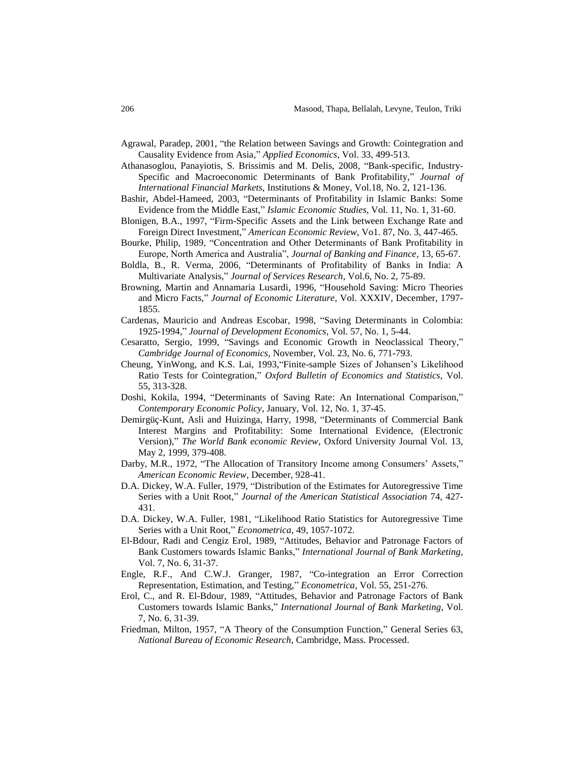- Agrawal, Paradep, 2001, "the Relation between Savings and Growth: Cointegration and Causality Evidence from Asia," *Applied Economics*, Vol. 33, 499-513.
- Athanasoglou, Panayiotis, S. Brissimis and M. Delis, 2008, "Bank-specific, Industry-Specific and Macroeconomic Determinants of Bank Profitability," *Journal of International Financial Markets,* Institutions & Money, Vol.18, No. 2, 121-136.
- Bashir, Abdel-Hameed, 2003, "Determinants of Profitability in Islamic Banks: Some Evidence from the Middle East," *Islamic Economic Studies*, Vol. 11, No. 1, 31-60.
- Blonigen, B.A., 1997, "Firm-Specific Assets and the Link between Exchange Rate and Foreign Direct Investment," *American Economic Review*, Vo1. 87, No. 3, 447-465.
- Bourke, Philip, 1989, "Concentration and Other Determinants of Bank Profitability in Europe, North America and Australia", *Journal of Banking and Finance*, 13, 65-67.
- Boldla, B., R. Verma, 2006, "Determinants of Profitability of Banks in India: A Multivariate Analysis," *Journal of Services Research*, Vol.6, No. 2, 75-89.
- Browning, Martin and Annamaria Lusardi, 1996, "Household Saving: Micro Theories and Micro Facts," *Journal of Economic Literature*, Vol. XXXIV, December, 1797- 1855.
- Cardenas, Mauricio and Andreas Escobar, 1998, "Saving Determinants in Colombia: 1925-1994," *Journal of Development Economics*, Vol. 57, No. 1, 5-44.
- Cesaratto, Sergio, 1999, "Savings and Economic Growth in Neoclassical Theory," *Cambridge Journal of Economics,* November, Vol. 23, No. 6, 771-793.
- Cheung, YinWong, and K.S. Lai, 1993,"Finite-sample Sizes of Johansen's Likelihood Ratio Tests for Cointegration," *Oxford Bulletin of Economics and Statistics*, Vol. 55, 313-328.
- Doshi, Kokila, 1994, "Determinants of Saving Rate: An International Comparison," *Contemporary Economic Policy*, January, Vol. 12, No. 1, 37-45.
- Demirgüç-Kunt, Asli and Huizinga, Harry, 1998, "Determinants of Commercial Bank Interest Margins and Profitability: Some International Evidence, (Electronic Version)," *The World Bank economic Review*, Oxford University Journal Vol. 13, May 2, 1999, 379-408.
- Darby, M.R., 1972, "The Allocation of Transitory Income among Consumers' Assets," *American Economic Review,* December, 928-41.
- D.A. Dickey, W.A. Fuller, 1979, "Distribution of the Estimates for Autoregressive Time Series with a Unit Root," *Journal of the American Statistical Association* 74, 427- 431.
- D.A. Dickey, W.A. Fuller, 1981, "Likelihood Ratio Statistics for Autoregressive Time Series with a Unit Root," *Econometrica*, 49, 1057-1072.
- El-Bdour, Radi and Cengiz Erol, 1989, "Attitudes, Behavior and Patronage Factors of Bank Customers towards Islamic Banks," *International Journal of Bank Marketing*, Vol. 7, No. 6, 31-37.
- Engle, R.F., And C.W.J. Granger, 1987, "Co-integration an Error Correction Representation, Estimation, and Testing," *Econometrica*, Vol. 55, 251-276.
- Erol, C., and R. El-Bdour, 1989, "Attitudes, Behavior and Patronage Factors of Bank Customers towards Islamic Banks," *International Journal of Bank Marketing*, Vol. 7, No. 6, 31-39.
- Friedman, Milton, 1957, "A Theory of the Consumption Function," General Series 63, *National Bureau of Economic Research,* Cambridge, Mass. Processed.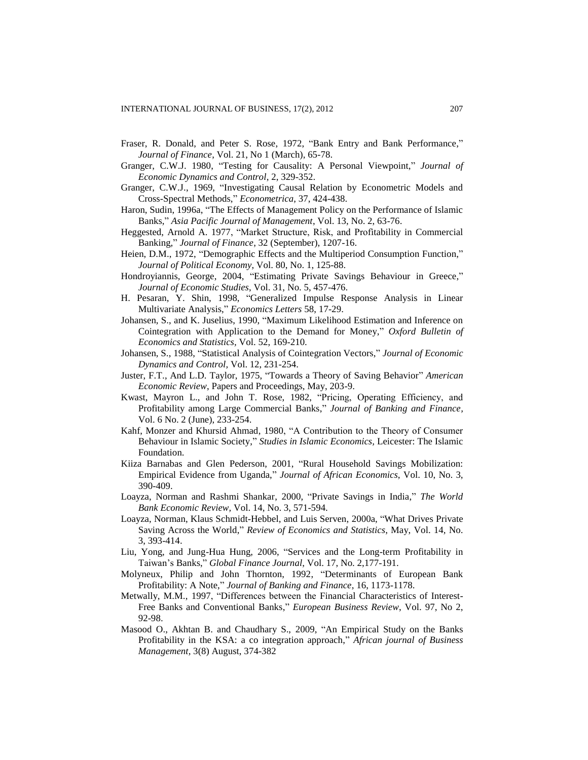- Fraser, R. Donald, and Peter S. Rose, 1972, "Bank Entry and Bank Performance," *Journal of Finance*, Vol. 21, No 1 (March), 65-78.
- Granger, C.W.J. 1980, "Testing for Causality: A Personal Viewpoint," *Journal of Economic Dynamics and Control*, 2, 329-352.
- Granger, C.W.J., 1969, "Investigating Causal Relation by Econometric Models and Cross-Spectral Methods," *Econometrica*, 37, 424-438.
- Haron, Sudin, 1996a, "The Effects of Management Policy on the Performance of Islamic Banks," *Asia Pacific Journal of Management*, Vol. 13, No. 2, 63-76.
- Heggested, Arnold A. 1977, "Market Structure, Risk, and Profitability in Commercial Banking," *Journal of Finance*, 32 (September), 1207-16.
- Heien, D.M., 1972, "Demographic Effects and the Multiperiod Consumption Function," *Journal of Political Economy*, Vol. 80, No. 1, 125-88.
- Hondroyiannis, George, 2004, "Estimating Private Savings Behaviour in Greece," *Journal of Economic Studies*, Vol. 31, No. 5, 457-476.
- H. Pesaran, Y. Shin, 1998, "Generalized Impulse Response Analysis in Linear Multivariate Analysis," *Economics Letters* 58, 17-29.
- Johansen, S., and K. Juselius, 1990, "Maximum Likelihood Estimation and Inference on Cointegration with Application to the Demand for Money," *Oxford Bulletin of Economics and Statistics,* Vol. 52, 169-210.
- Johansen, S., 1988, "Statistical Analysis of Cointegration Vectors," *Journal of Economic Dynamics and Control,* Vol. 12, 231-254.
- Juster, F.T., And L.D. Taylor, 1975, "Towards a Theory of Saving Behavior" *American Economic Review*, Papers and Proceedings, May, 203-9.
- Kwast, Mayron L., and John T. Rose, 1982, "Pricing, Operating Efficiency, and Profitability among Large Commercial Banks," *Journal of Banking and Finance,* Vol. 6 No. 2 (June), 233-254.
- Kahf, Monzer and Khursid Ahmad, 1980, "A Contribution to the Theory of Consumer Behaviour in Islamic Society," *Studies in Islamic Economics,* Leicester: The Islamic Foundation.
- Kiiza Barnabas and Glen Pederson, 2001, "Rural Household Savings Mobilization: Empirical Evidence from Uganda," *Journal of African Economics*, Vol. 10, No. 3, 390-409.
- Loayza, Norman and Rashmi Shankar, 2000, "Private Savings in India," *The World Bank Economic Review,* Vol. 14, No. 3, 571-594.
- Loayza, Norman, Klaus Schmidt-Hebbel, and Luis Serven, 2000a, "What Drives Private Saving Across the World," *Review of Economics and Statistics*, May, Vol. 14, No. 3, 393-414.
- Liu, Yong, and Jung-Hua Hung, 2006, "Services and the Long-term Profitability in Taiwan's Banks," *Global Finance Journal*, Vol. 17, No. 2,177-191.
- Molyneux, Philip and John Thornton, 1992, "Determinants of European Bank Profitability: A Note," *Journal of Banking and Finance*, 16, 1173-1178.
- Metwally, M.M., 1997, "Differences between the Financial Characteristics of Interest-Free Banks and Conventional Banks," *European Business Review*, Vol. 97, No 2, 92-98.
- Masood O., Akhtan B. and Chaudhary S., 2009, "An Empirical Study on the Banks Profitability in the KSA: a co integration approach," *African journal of Business Management,* 3(8) August, 374-382